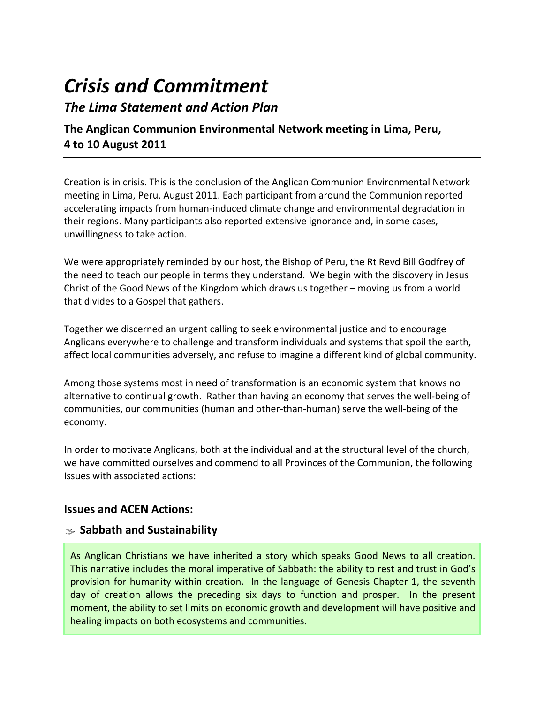# *Crisis and Commitment*

# *The Lima Statement and Action Plan*

# **The Anglican Communion Environmental Network meeting in Lima, Peru, 4 to 10 August 2011**

Creation is in crisis. This is the conclusion of the Anglican Communion Environmental Network meeting in Lima, Peru, August 2011. Each participant from around the Communion reported accelerating impacts from human‐induced climate change and environmental degradation in their regions. Many participants also reported extensive ignorance and, in some cases, unwillingness to take action.

We were appropriately reminded by our host, the Bishop of Peru, the Rt Revd Bill Godfrey of the need to teach our people in terms they understand. We begin with the discovery in Jesus Christ of the Good News of the Kingdom which draws us together – moving us from a world that divides to a Gospel that gathers.

Together we discerned an urgent calling to seek environmental justice and to encourage Anglicans everywhere to challenge and transform individuals and systems that spoil the earth, affect local communities adversely, and refuse to imagine a different kind of global community.

Among those systems most in need of transformation is an economic system that knows no alternative to continual growth. Rather than having an economy that serves the well‐being of communities, our communities (human and other‐than‐human) serve the well‐being of the economy.

In order to motivate Anglicans, both at the individual and at the structural level of the church, we have committed ourselves and commend to all Provinces of the Communion, the following Issues with associated actions:

# **Issues and ACEN Actions:**

# Á **Sabbath and Sustainability**

As Anglican Christians we have inherited a story which speaks Good News to all creation. This narrative includes the moral imperative of Sabbath: the ability to rest and trust in God's provision for humanity within creation. In the language of Genesis Chapter 1, the seventh day of creation allows the preceding six days to function and prosper. In the present moment, the ability to set limits on economic growth and development will have positive and healing impacts on both ecosystems and communities.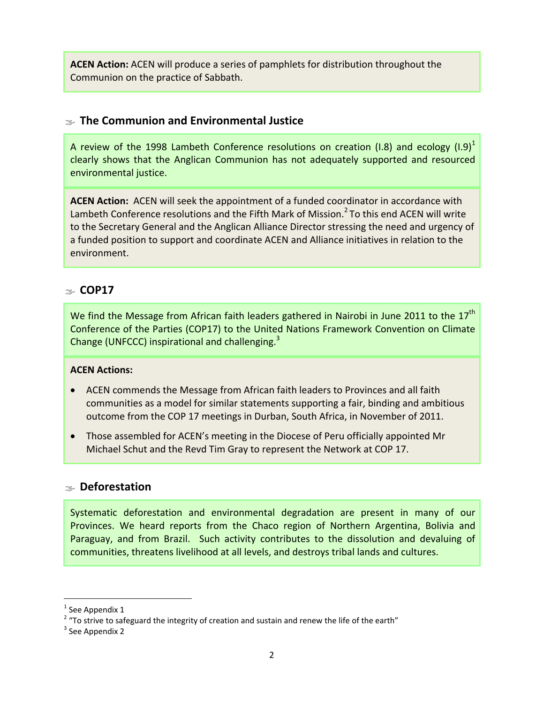**ACEN Action:** ACEN will produce a series of pamphlets for distribution throughout the Communion on the practice of Sabbath.

# $\approx$  The Communion and Environmental Justice

A review of the 1998 Lambeth Conference resolutions on creation (I.8) and ecology (I.9)<sup>1</sup> clearly shows that the Anglican Communion has not adequately supported and resourced environmental justice.

**ACEN Action:** ACEN will seek the appointment of a funded coordinator in accordance with Lambeth Conference resolutions and the Fifth Mark of Mission.<sup>2</sup> To this end ACEN will write to the Secretary General and the Anglican Alliance Director stressing the need and urgency of a funded position to support and coordinate ACEN and Alliance initiatives in relation to the environment.

# Á **COP17**

We find the Message from African faith leaders gathered in Nairobi in June 2011 to the  $17<sup>th</sup>$ Conference of the Parties (COP17) to the United Nations Framework Convention on Climate Change (UNFCCC) inspirational and challenging.<sup>3</sup>

#### **ACEN Actions:**

- ACEN commends the Message from African faith leaders to Provinces and all faith communities as a model for similar statements supporting a fair, binding and ambitious outcome from the COP 17 meetings in Durban, South Africa, in November of 2011.
- Those assembled for ACEN's meeting in the Diocese of Peru officially appointed Mr Michael Schut and the Revd Tim Gray to represent the Network at COP 17.

#### Á **Deforestation**

Systematic deforestation and environmental degradation are present in many of our Provinces. We heard reports from the Chaco region of Northern Argentina, Bolivia and Paraguay, and from Brazil. Such activity contributes to the dissolution and devaluing of communities, threatens livelihood at all levels, and destroys tribal lands and cultures.

 $\overline{\phantom{a}}$ 

 $^1$  See Appendix 1

 $2$  "To strive to safeguard the integrity of creation and sustain and renew the life of the earth"

<sup>&</sup>lt;sup>3</sup> See Appendix 2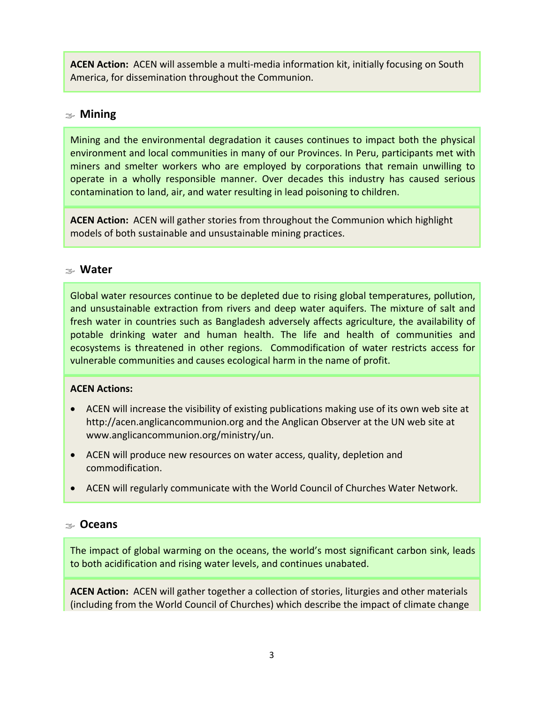**ACEN Action:** ACEN will assemble a multi-media information kit, initially focusing on South America, for dissemination throughout the Communion.

#### Á **Mining**

Mining and the environmental degradation it causes continues to impact both the physical environment and local communities in many of our Provinces. In Peru, participants met with miners and smelter workers who are employed by corporations that remain unwilling to operate in a wholly responsible manner. Over decades this industry has caused serious contamination to land, air, and water resulting in lead poisoning to children.

**ACEN Action:** ACEN will gather stories from throughout the Communion which highlight models of both sustainable and unsustainable mining practices.

#### Á **Water**

Global water resources continue to be depleted due to rising global temperatures, pollution, and unsustainable extraction from rivers and deep water aquifers. The mixture of salt and fresh water in countries such as Bangladesh adversely affects agriculture, the availability of potable drinking water and human health. The life and health of communities and ecosystems is threatened in other regions. Commodification of water restricts access for vulnerable communities and causes ecological harm in the name of profit.

#### **ACEN Actions:**

- ACEN will increase the visibility of existing publications making use of its own web site at http://acen.anglicancommunion.org and the Anglican Observer at the UN web site at www.anglicancommunion.org/ministry/un.
- ACEN will produce new resources on water access, quality, depletion and commodification.
- ACEN will regularly communicate with the World Council of Churches Water Network.

#### Á **Oceans**

The impact of global warming on the oceans, the world's most significant carbon sink, leads to both acidification and rising water levels, and continues unabated.

**ACEN Action:** ACEN will gather together a collection of stories, liturgies and other materials (including from the World Council of Churches) which describe the impact of climate change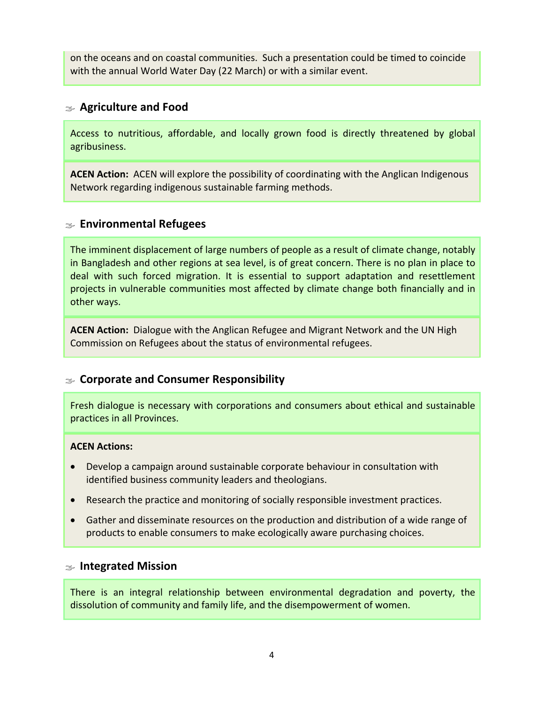on the oceans and on coastal communities. Such a presentation could be timed to coincide with the annual World Water Day (22 March) or with a similar event.

#### Á **Agriculture and Food**

Access to nutritious, affordable, and locally grown food is directly threatened by global agribusiness.

**ACEN Action:** ACEN will explore the possibility of coordinating with the Anglican Indigenous Network regarding indigenous sustainable farming methods.

### Á **Environmental Refugees**

The imminent displacement of large numbers of people as a result of climate change, notably in Bangladesh and other regions at sea level, is of great concern. There is no plan in place to deal with such forced migration. It is essential to support adaptation and resettlement projects in vulnerable communities most affected by climate change both financially and in other ways.

**ACEN Action:** Dialogue with the Anglican Refugee and Migrant Network and the UN High Commission on Refugees about the status of environmental refugees.

# Á **Corporate and Consumer Responsibility**

Fresh dialogue is necessary with corporations and consumers about ethical and sustainable practices in all Provinces.

#### **ACEN Actions:**

- Develop a campaign around sustainable corporate behaviour in consultation with identified business community leaders and theologians.
- Research the practice and monitoring of socially responsible investment practices.
- Gather and disseminate resources on the production and distribution of a wide range of products to enable consumers to make ecologically aware purchasing choices.

#### Á **Integrated Mission**

There is an integral relationship between environmental degradation and poverty, the dissolution of community and family life, and the disempowerment of women.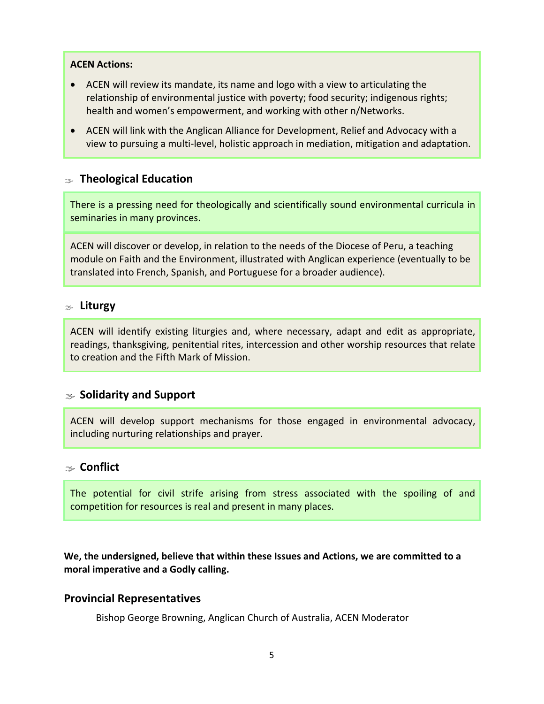#### **ACEN Actions:**

- ACEN will review its mandate, its name and logo with a view to articulating the relationship of environmental justice with poverty; food security; indigenous rights; health and women's empowerment, and working with other n/Networks.
- ACEN will link with the Anglican Alliance for Development, Relief and Advocacy with a view to pursuing a multi‐level, holistic approach in mediation, mitigation and adaptation.

#### Á **Theological Education**

There is a pressing need for theologically and scientifically sound environmental curricula in seminaries in many provinces.

ACEN will discover or develop, in relation to the needs of the Diocese of Peru, a teaching module on Faith and the Environment, illustrated with Anglican experience (eventually to be translated into French, Spanish, and Portuguese for a broader audience).

#### Á **Liturgy**

ACEN will identify existing liturgies and, where necessary, adapt and edit as appropriate, readings, thanksgiving, penitential rites, intercession and other worship resources that relate to creation and the Fifth Mark of Mission.

#### Á **Solidarity and Support**

ACEN will develop support mechanisms for those engaged in environmental advocacy, including nurturing relationships and prayer.

#### Á **Conflict**

The potential for civil strife arising from stress associated with the spoiling of and competition for resources is real and present in many places.

**We, the undersigned, believe that within these Issues and Actions, we are committed to a moral imperative and a Godly calling.** 

#### **Provincial Representatives**

Bishop George Browning, Anglican Church of Australia, ACEN Moderator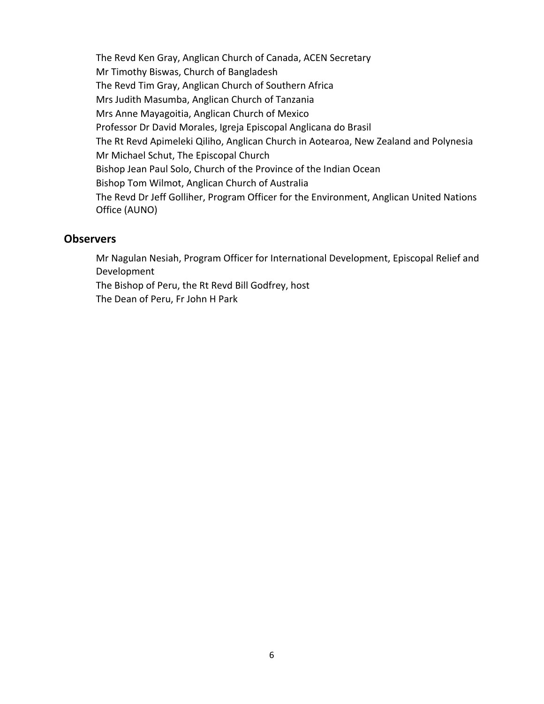The Revd Ken Gray, Anglican Church of Canada, ACEN Secretary Mr Timothy Biswas, Church of Bangladesh The Revd Tim Gray, Anglican Church of Southern Africa Mrs Judith Masumba, Anglican Church of Tanzania Mrs Anne Mayagoitia, Anglican Church of Mexico Professor Dr David Morales, Igreja Episcopal Anglicana do Brasil The Rt Revd Apimeleki Qiliho, Anglican Church in Aotearoa, New Zealand and Polynesia Mr Michael Schut, The Episcopal Church Bishop Jean Paul Solo, Church of the Province of the Indian Ocean Bishop Tom Wilmot, Anglican Church of Australia The Revd Dr Jeff Golliher, Program Officer for the Environment, Anglican United Nations Office (AUNO)

#### **Observers**

Mr Nagulan Nesiah, Program Officer for International Development, Episcopal Relief and Development

The Bishop of Peru, the Rt Revd Bill Godfrey, host

The Dean of Peru, Fr John H Park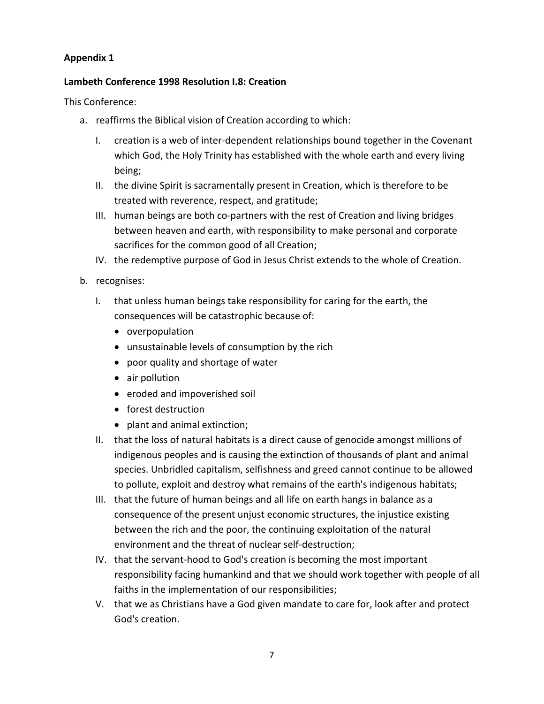#### **Appendix 1**

#### **Lambeth Conference 1998 Resolution I.8: Creation**

This Conference:

- a. reaffirms the Biblical vision of Creation according to which:
	- I. creation is a web of inter‐dependent relationships bound together in the Covenant which God, the Holy Trinity has established with the whole earth and every living being;
	- II. the divine Spirit is sacramentally present in Creation, which is therefore to be treated with reverence, respect, and gratitude;
	- III. human beings are both co‐partners with the rest of Creation and living bridges between heaven and earth, with responsibility to make personal and corporate sacrifices for the common good of all Creation;
	- IV. the redemptive purpose of God in Jesus Christ extends to the whole of Creation.
- b. recognises:
	- I. that unless human beings take responsibility for caring for the earth, the consequences will be catastrophic because of:
		- overpopulation
		- unsustainable levels of consumption by the rich
		- poor quality and shortage of water
		- air pollution
		- eroded and impoverished soil
		- forest destruction
		- plant and animal extinction;
	- II. that the loss of natural habitats is a direct cause of genocide amongst millions of indigenous peoples and is causing the extinction of thousands of plant and animal species. Unbridled capitalism, selfishness and greed cannot continue to be allowed to pollute, exploit and destroy what remains of the earth's indigenous habitats;
	- III. that the future of human beings and all life on earth hangs in balance as a consequence of the present unjust economic structures, the injustice existing between the rich and the poor, the continuing exploitation of the natural environment and the threat of nuclear self‐destruction;
	- IV. that the servant‐hood to God's creation is becoming the most important responsibility facing humankind and that we should work together with people of all faiths in the implementation of our responsibilities;
	- V. that we as Christians have a God given mandate to care for, look after and protect God's creation.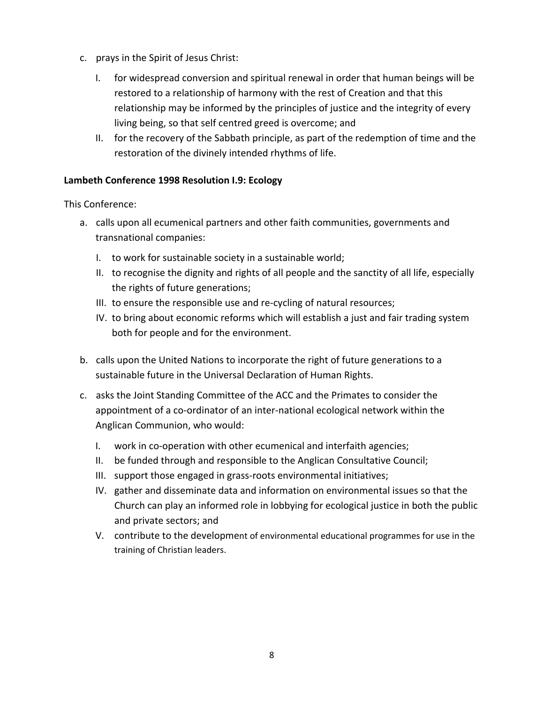- c. prays in the Spirit of Jesus Christ:
	- I. for widespread conversion and spiritual renewal in order that human beings will be restored to a relationship of harmony with the rest of Creation and that this relationship may be informed by the principles of justice and the integrity of every living being, so that self centred greed is overcome; and
	- II. for the recovery of the Sabbath principle, as part of the redemption of time and the restoration of the divinely intended rhythms of life.

#### **Lambeth Conference 1998 Resolution I.9: Ecology**

This Conference:

- a. calls upon all ecumenical partners and other faith communities, governments and transnational companies:
	- I. to work for sustainable society in a sustainable world;
	- II. to recognise the dignity and rights of all people and the sanctity of all life, especially the rights of future generations;
	- III. to ensure the responsible use and re-cycling of natural resources;
	- IV. to bring about economic reforms which will establish a just and fair trading system both for people and for the environment.
- b. calls upon the United Nations to incorporate the right of future generations to a sustainable future in the Universal Declaration of Human Rights.
- c. asks the Joint Standing Committee of the ACC and the Primates to consider the appointment of a co‐ordinator of an inter‐national ecological network within the Anglican Communion, who would:
	- I. work in co-operation with other ecumenical and interfaith agencies;
	- II. be funded through and responsible to the Anglican Consultative Council;
	- III. support those engaged in grass‐roots environmental initiatives;
	- IV. gather and disseminate data and information on environmental issues so that the Church can play an informed role in lobbying for ecological justice in both the public and private sectors; and
	- V. contribute to the development of environmental educational programmes for use in the training of Christian leaders.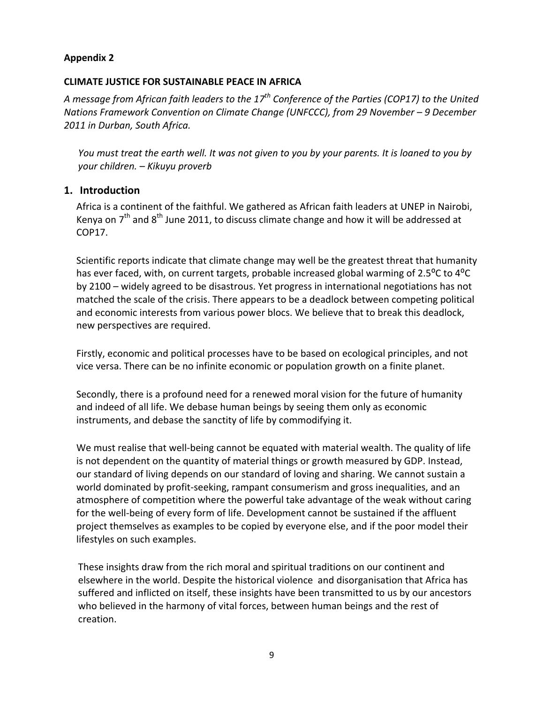#### **Appendix 2**

#### **CLIMATE JUSTICE FOR SUSTAINABLE PEACE IN AFRICA**

*A message from African faith leaders to the 17th Conference of the Parties (COP17) to the United Nations Framework Convention on Climate Change (UNFCCC), from 29 November – 9 December 2011 in Durban, South Africa.* 

*You must treat the earth well. It was not given to you by your parents. It is loaned to you by your children. – Kikuyu proverb* 

#### **1. Introduction**

Africa is a continent of the faithful. We gathered as African faith leaders at UNEP in Nairobi, Kenya on  $7<sup>th</sup>$  and  $8<sup>th</sup>$  June 2011, to discuss climate change and how it will be addressed at COP17.

Scientific reports indicate that climate change may well be the greatest threat that humanity has ever faced, with, on current targets, probable increased global warming of 2.5<sup>o</sup>C to 4<sup>o</sup>C by 2100 – widely agreed to be disastrous. Yet progress in international negotiations has not matched the scale of the crisis. There appears to be a deadlock between competing political and economic interests from various power blocs. We believe that to break this deadlock, new perspectives are required.

Firstly, economic and political processes have to be based on ecological principles, and not vice versa. There can be no infinite economic or population growth on a finite planet.

Secondly, there is a profound need for a renewed moral vision for the future of humanity and indeed of all life. We debase human beings by seeing them only as economic instruments, and debase the sanctity of life by commodifying it.

We must realise that well-being cannot be equated with material wealth. The quality of life is not dependent on the quantity of material things or growth measured by GDP. Instead, our standard of living depends on our standard of loving and sharing. We cannot sustain a world dominated by profit‐seeking, rampant consumerism and gross inequalities, and an atmosphere of competition where the powerful take advantage of the weak without caring for the well-being of every form of life. Development cannot be sustained if the affluent project themselves as examples to be copied by everyone else, and if the poor model their lifestyles on such examples.

These insights draw from the rich moral and spiritual traditions on our continent and elsewhere in the world. Despite the historical violence and disorganisation that Africa has suffered and inflicted on itself, these insights have been transmitted to us by our ancestors who believed in the harmony of vital forces, between human beings and the rest of creation.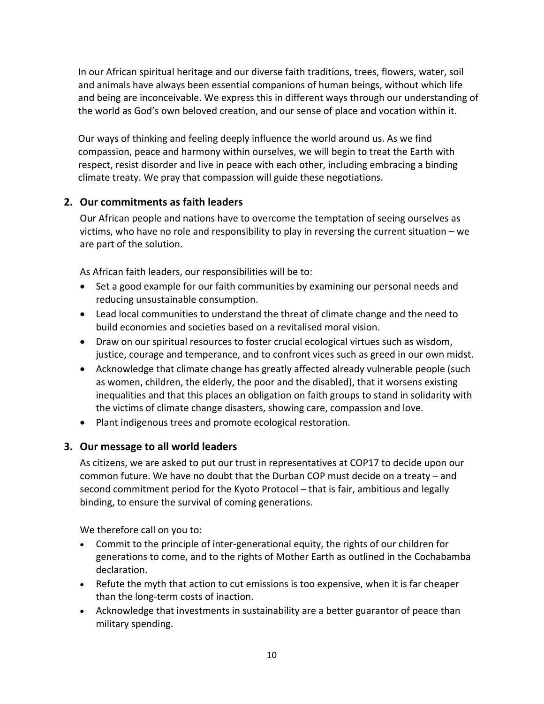In our African spiritual heritage and our diverse faith traditions, trees, flowers, water, soil and animals have always been essential companions of human beings, without which life and being are inconceivable. We express this in different ways through our understanding of the world as God's own beloved creation, and our sense of place and vocation within it.

Our ways of thinking and feeling deeply influence the world around us. As we find compassion, peace and harmony within ourselves, we will begin to treat the Earth with respect, resist disorder and live in peace with each other, including embracing a binding climate treaty. We pray that compassion will guide these negotiations.

#### **2. Our commitments as faith leaders**

Our African people and nations have to overcome the temptation of seeing ourselves as victims, who have no role and responsibility to play in reversing the current situation – we are part of the solution.

As African faith leaders, our responsibilities will be to:

- Set a good example for our faith communities by examining our personal needs and reducing unsustainable consumption.
- Lead local communities to understand the threat of climate change and the need to build economies and societies based on a revitalised moral vision.
- Draw on our spiritual resources to foster crucial ecological virtues such as wisdom, justice, courage and temperance, and to confront vices such as greed in our own midst.
- Acknowledge that climate change has greatly affected already vulnerable people (such as women, children, the elderly, the poor and the disabled), that it worsens existing inequalities and that this places an obligation on faith groups to stand in solidarity with the victims of climate change disasters, showing care, compassion and love.
- Plant indigenous trees and promote ecological restoration.

#### **3. Our message to all world leaders**

As citizens, we are asked to put our trust in representatives at COP17 to decide upon our common future. We have no doubt that the Durban COP must decide on a treaty – and second commitment period for the Kyoto Protocol – that is fair, ambitious and legally binding, to ensure the survival of coming generations.

We therefore call on you to:

- Commit to the principle of inter-generational equity, the rights of our children for generations to come, and to the rights of Mother Earth as outlined in the Cochabamba declaration.
- Refute the myth that action to cut emissions is too expensive, when it is far cheaper than the long‐term costs of inaction.
- Acknowledge that investments in sustainability are a better guarantor of peace than military spending.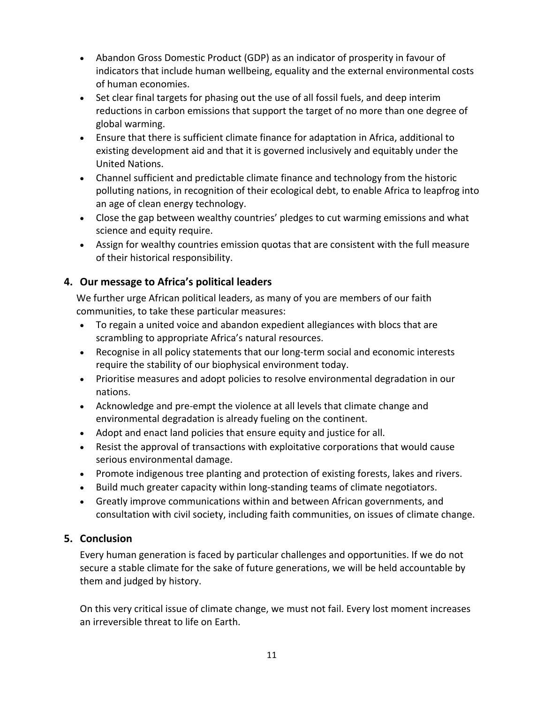- Abandon Gross Domestic Product (GDP) as an indicator of prosperity in favour of indicators that include human wellbeing, equality and the external environmental costs of human economies.
- Set clear final targets for phasing out the use of all fossil fuels, and deep interim reductions in carbon emissions that support the target of no more than one degree of global warming.
- Ensure that there is sufficient climate finance for adaptation in Africa, additional to existing development aid and that it is governed inclusively and equitably under the United Nations.
- Channel sufficient and predictable climate finance and technology from the historic polluting nations, in recognition of their ecological debt, to enable Africa to leapfrog into an age of clean energy technology.
- Close the gap between wealthy countries' pledges to cut warming emissions and what science and equity require.
- Assign for wealthy countries emission quotas that are consistent with the full measure of their historical responsibility.

# **4. Our message to Africa's political leaders**

We further urge African political leaders, as many of you are members of our faith communities, to take these particular measures:

- To regain a united voice and abandon expedient allegiances with blocs that are scrambling to appropriate Africa's natural resources.
- Recognise in all policy statements that our long‐term social and economic interests require the stability of our biophysical environment today.
- Prioritise measures and adopt policies to resolve environmental degradation in our nations.
- Acknowledge and pre‐empt the violence at all levels that climate change and environmental degradation is already fueling on the continent.
- Adopt and enact land policies that ensure equity and justice for all.
- Resist the approval of transactions with exploitative corporations that would cause serious environmental damage.
- Promote indigenous tree planting and protection of existing forests, lakes and rivers.
- Build much greater capacity within long‐standing teams of climate negotiators.
- Greatly improve communications within and between African governments, and consultation with civil society, including faith communities, on issues of climate change.

# **5. Conclusion**

Every human generation is faced by particular challenges and opportunities. If we do not secure a stable climate for the sake of future generations, we will be held accountable by them and judged by history.

On this very critical issue of climate change, we must not fail. Every lost moment increases an irreversible threat to life on Earth.